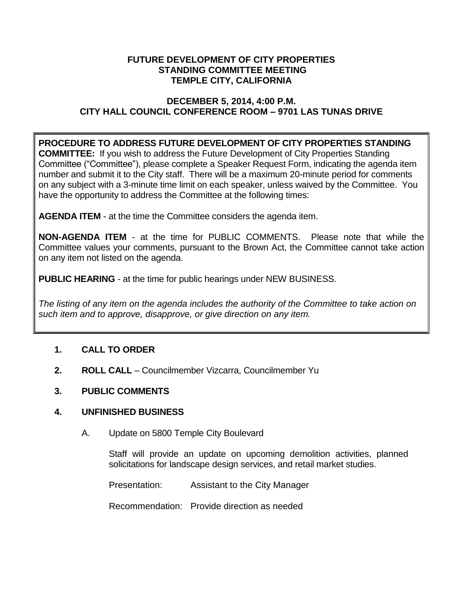### **FUTURE DEVELOPMENT OF CITY PROPERTIES STANDING COMMITTEE MEETING TEMPLE CITY, CALIFORNIA**

## **DECEMBER 5, 2014, 4:00 P.M. CITY HALL COUNCIL CONFERENCE ROOM – 9701 LAS TUNAS DRIVE**

## **PROCEDURE TO ADDRESS FUTURE DEVELOPMENT OF CITY PROPERTIES STANDING**

**COMMITTEE:** If you wish to address the Future Development of City Properties Standing Committee ("Committee"), please complete a Speaker Request Form, indicating the agenda item number and submit it to the City staff. There will be a maximum 20-minute period for comments on any subject with a 3-minute time limit on each speaker, unless waived by the Committee. You have the opportunity to address the Committee at the following times:

**AGENDA ITEM** - at the time the Committee considers the agenda item.

**NON-AGENDA ITEM** - at the time for PUBLIC COMMENTS. Please note that while the Committee values your comments, pursuant to the Brown Act, the Committee cannot take action on any item not listed on the agenda.

**PUBLIC HEARING** - at the time for public hearings under NEW BUSINESS.

*The listing of any item on the agenda includes the authority of the Committee to take action on such item and to approve, disapprove, or give direction on any item.*

# **1. CALL TO ORDER**

**2. ROLL CALL** – Councilmember Vizcarra, Councilmember Yu

# **3. PUBLIC COMMENTS**

### **4. UNFINISHED BUSINESS**

A. Update on 5800 Temple City Boulevard

Staff will provide an update on upcoming demolition activities, planned solicitations for landscape design services, and retail market studies.

Presentation: Assistant to the City Manager

Recommendation: Provide direction as needed